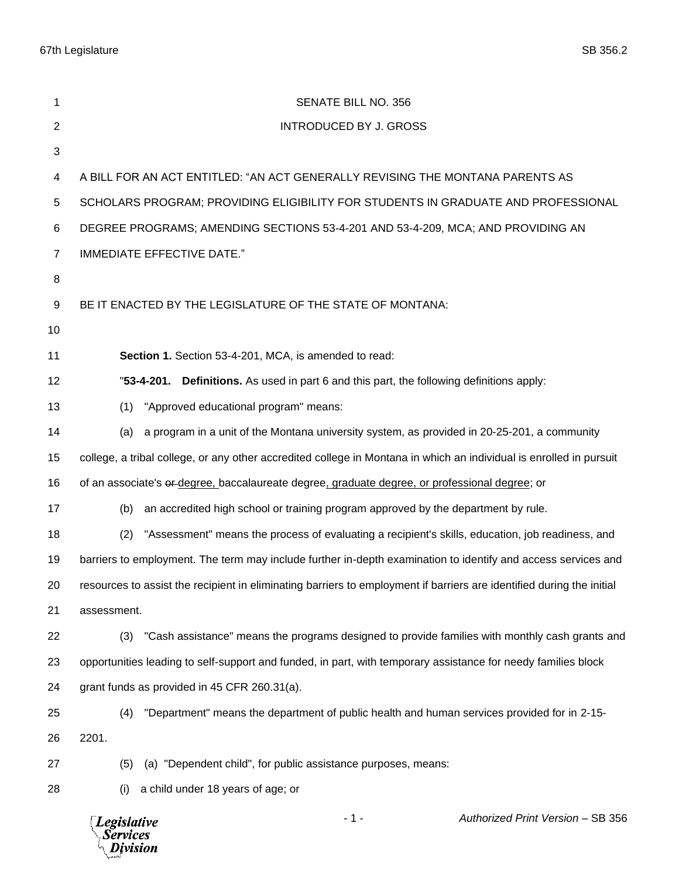67th Legislature SB 356.2

| 1              | SENATE BILL NO. 356                                                                                                   |
|----------------|-----------------------------------------------------------------------------------------------------------------------|
| $\overline{2}$ | <b>INTRODUCED BY J. GROSS</b>                                                                                         |
| 3              |                                                                                                                       |
| 4              | A BILL FOR AN ACT ENTITLED: "AN ACT GENERALLY REVISING THE MONTANA PARENTS AS                                         |
| 5              | SCHOLARS PROGRAM; PROVIDING ELIGIBILITY FOR STUDENTS IN GRADUATE AND PROFESSIONAL                                     |
| 6              | DEGREE PROGRAMS; AMENDING SECTIONS 53-4-201 AND 53-4-209, MCA; AND PROVIDING AN                                       |
| $\overline{7}$ | IMMEDIATE EFFECTIVE DATE."                                                                                            |
| 8              |                                                                                                                       |
| 9              | BE IT ENACTED BY THE LEGISLATURE OF THE STATE OF MONTANA:                                                             |
| 10             |                                                                                                                       |
| 11             | Section 1. Section 53-4-201, MCA, is amended to read:                                                                 |
| 12             | "53-4-201. Definitions. As used in part 6 and this part, the following definitions apply:                             |
| 13             | "Approved educational program" means:<br>(1)                                                                          |
| 14             | a program in a unit of the Montana university system, as provided in 20-25-201, a community<br>(a)                    |
| 15             | college, a tribal college, or any other accredited college in Montana in which an individual is enrolled in pursuit   |
| 16             | of an associate's er-degree, baccalaureate degree, graduate degree, or professional degree; or                        |
| 17             | an accredited high school or training program approved by the department by rule.<br>(b)                              |
| 18             | "Assessment" means the process of evaluating a recipient's skills, education, job readiness, and<br>(2)               |
| 19             | barriers to employment. The term may include further in-depth examination to identify and access services and         |
| 20             | resources to assist the recipient in eliminating barriers to employment if barriers are identified during the initial |
| 21             | assessment.                                                                                                           |
| 22             | "Cash assistance" means the programs designed to provide families with monthly cash grants and<br>(3)                 |
| 23             | opportunities leading to self-support and funded, in part, with temporary assistance for needy families block         |
| 24             | grant funds as provided in 45 CFR 260.31(a).                                                                          |
| 25             | "Department" means the department of public health and human services provided for in 2-15-<br>(4)                    |
| 26             | 2201.                                                                                                                 |
| 27             | (a) "Dependent child", for public assistance purposes, means:<br>(5)                                                  |
| 28             | a child under 18 years of age; or<br>(i)                                                                              |
|                | $-1-$<br>Authorized Print Version - SB 356<br><b>Legislative</b><br><b>Services</b><br>Division                       |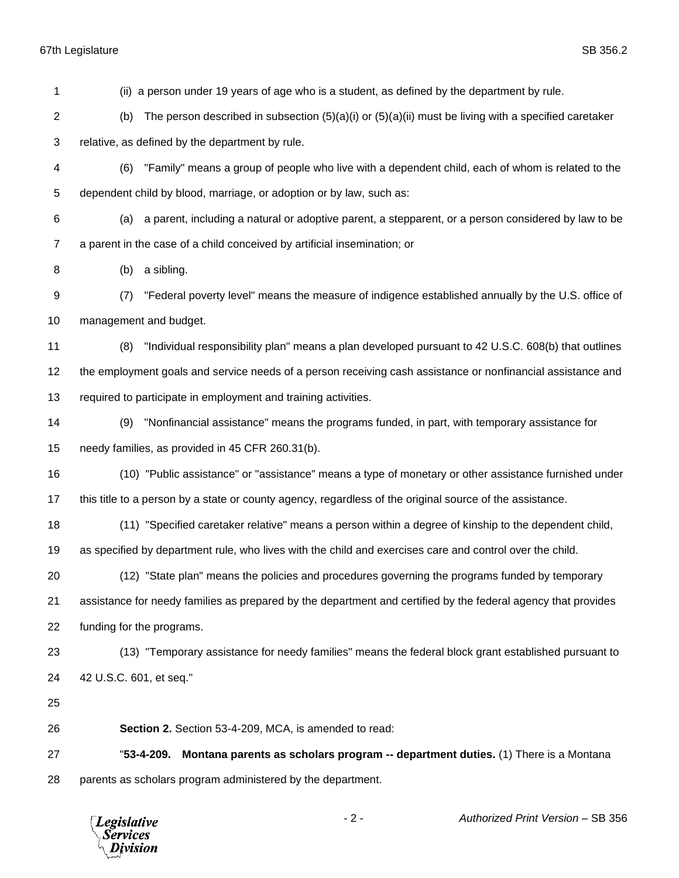67th Legislature SB 356.2

 (ii) a person under 19 years of age who is a student, as defined by the department by rule. 2 (b) The person described in subsection  $(5)(a)(i)$  or  $(5)(a)(ii)$  must be living with a specified caretaker relative, as defined by the department by rule. (6) "Family" means a group of people who live with a dependent child, each of whom is related to the dependent child by blood, marriage, or adoption or by law, such as: (a) a parent, including a natural or adoptive parent, a stepparent, or a person considered by law to be a parent in the case of a child conceived by artificial insemination; or (b) a sibling. (7) "Federal poverty level" means the measure of indigence established annually by the U.S. office of management and budget. (8) "Individual responsibility plan" means a plan developed pursuant to 42 U.S.C. 608(b) that outlines the employment goals and service needs of a person receiving cash assistance or nonfinancial assistance and required to participate in employment and training activities. (9) "Nonfinancial assistance" means the programs funded, in part, with temporary assistance for needy families, as provided in 45 CFR 260.31(b). (10) "Public assistance" or "assistance" means a type of monetary or other assistance furnished under this title to a person by a state or county agency, regardless of the original source of the assistance. (11) "Specified caretaker relative" means a person within a degree of kinship to the dependent child, as specified by department rule, who lives with the child and exercises care and control over the child. (12) "State plan" means the policies and procedures governing the programs funded by temporary assistance for needy families as prepared by the department and certified by the federal agency that provides funding for the programs. (13) "Temporary assistance for needy families" means the federal block grant established pursuant to 42 U.S.C. 601, et seq." **Section 2.** Section 53-4-209, MCA, is amended to read: "**53-4-209. Montana parents as scholars program -- department duties.** (1) There is a Montana parents as scholars program administered by the department.

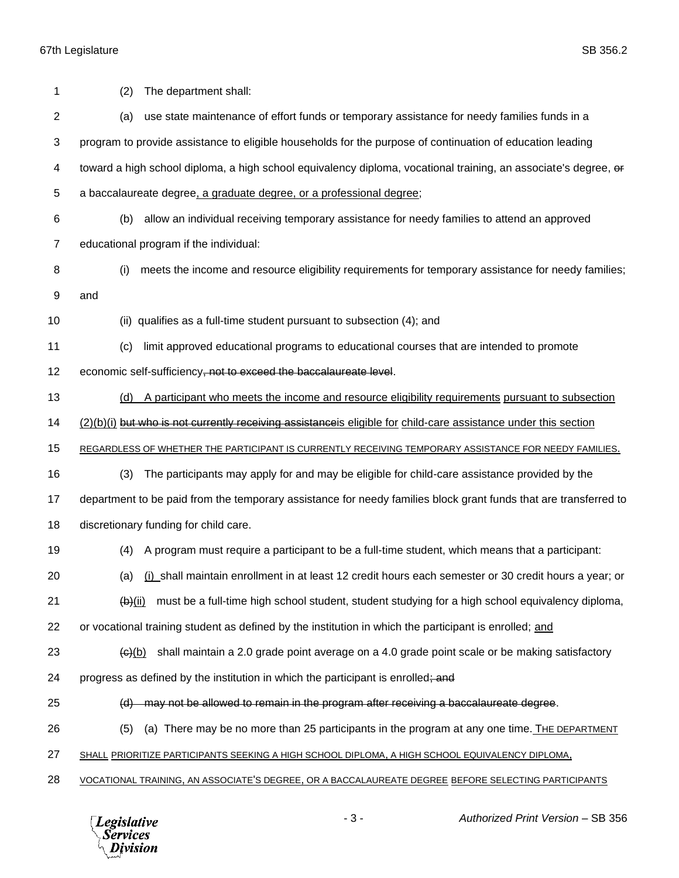| 1              | The department shall:<br>(2)                                                                                                        |
|----------------|-------------------------------------------------------------------------------------------------------------------------------------|
| $\overline{c}$ | use state maintenance of effort funds or temporary assistance for needy families funds in a<br>(a)                                  |
| 3              | program to provide assistance to eligible households for the purpose of continuation of education leading                           |
| 4              | toward a high school diploma, a high school equivalency diploma, vocational training, an associate's degree, or                     |
| 5              | a baccalaureate degree, a graduate degree, or a professional degree;                                                                |
| 6              | allow an individual receiving temporary assistance for needy families to attend an approved<br>(b)                                  |
| $\overline{7}$ | educational program if the individual:                                                                                              |
| 8              | meets the income and resource eligibility requirements for temporary assistance for needy families;<br>(i)                          |
| 9              | and                                                                                                                                 |
| 10             | (ii) qualifies as a full-time student pursuant to subsection (4); and                                                               |
| 11             | limit approved educational programs to educational courses that are intended to promote<br>(c)                                      |
| 12             | economic self-sufficiency, not to exceed the baccalaureate level.                                                                   |
| 13             | A participant who meets the income and resource eligibility requirements pursuant to subsection<br>(d)                              |
| 14             | (2)(b)(i) but who is not currently receiving assistance is eligible for child-care assistance under this section                    |
| 15             | REGARDLESS OF WHETHER THE PARTICIPANT IS CURRENTLY RECEIVING TEMPORARY ASSISTANCE FOR NEEDY FAMILIES.                               |
| 16             | The participants may apply for and may be eligible for child-care assistance provided by the<br>(3)                                 |
| 17             | department to be paid from the temporary assistance for needy families block grant funds that are transferred to                    |
| 18             | discretionary funding for child care.                                                                                               |
| 19             | A program must require a participant to be a full-time student, which means that a participant:<br>(4)                              |
| 20             | (a) (i) shall maintain enrollment in at least 12 credit hours each semester or 30 credit hours a year; or                           |
| 21             | must be a full-time high school student, student studying for a high school equivalency diploma,<br>$\frac{1}{2}$ (b) $\frac{1}{2}$ |
| 22             | or vocational training student as defined by the institution in which the participant is enrolled; and                              |
| 23             | shall maintain a 2.0 grade point average on a 4.0 grade point scale or be making satisfactory<br><del>(c)</del> (b)                 |
| 24             | progress as defined by the institution in which the participant is enrolled; and                                                    |
| 25             | (d) may not be allowed to remain in the program after receiving a baccalaureate degree.                                             |
| 26             | (a) There may be no more than 25 participants in the program at any one time. The DEPARTMENT<br>(5)                                 |
| 27             | SHALL PRIORITIZE PARTICIPANTS SEEKING A HIGH SCHOOL DIPLOMA, A HIGH SCHOOL EQUIVALENCY DIPLOMA,                                     |
| 28             | VOCATIONAL TRAINING, AN ASSOCIATE'S DEGREE, OR A BACCALAUREATE DEGREE BEFORE SELECTING PARTICIPANTS                                 |